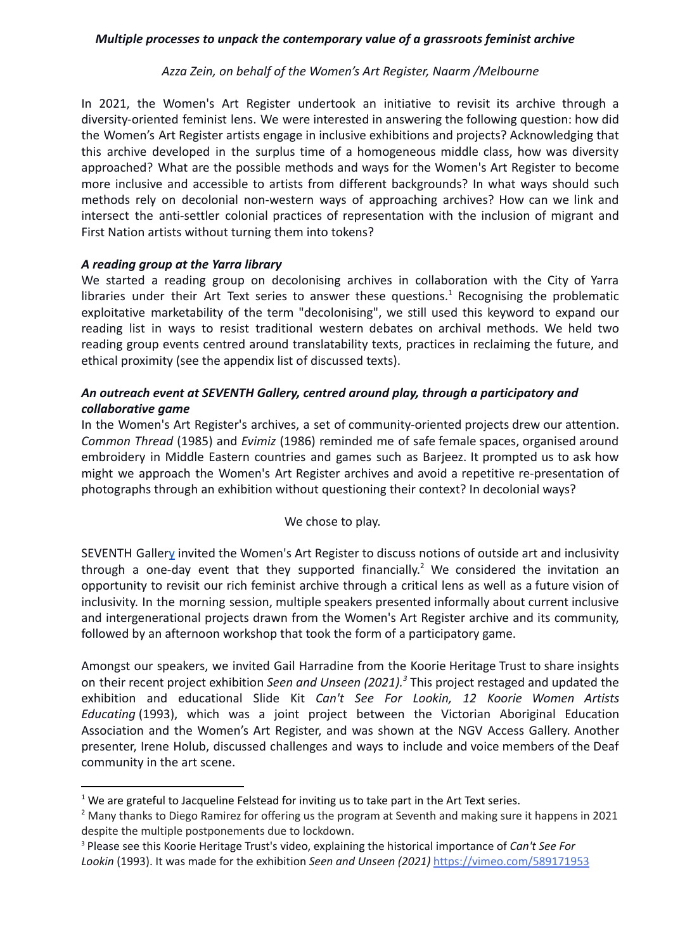## *Azza Zein, on behalf of the Women's Art Register, Naarm /Melbourne*

In 2021, the Women's Art Register undertook an initiative to revisit its archive through a diversity-oriented feminist lens. We were interested in answering the following question: how did the Women's Art Register artists engage in inclusive exhibitions and projects? Acknowledging that this archive developed in the surplus time of a homogeneous middle class, how was diversity approached? What are the possible methods and ways for the Women's Art Register to become more inclusive and accessible to artists from different backgrounds? In what ways should such methods rely on decolonial non-western ways of approaching archives? How can we link and intersect the anti-settler colonial practices of representation with the inclusion of migrant and First Nation artists without turning them into tokens?

### *A reading group at the Yarra library*

We started a reading group on decolonising archives in collaboration with the City of Yarra libraries under their Art Text series to answer these questions.<sup>1</sup> Recognising the problematic exploitative marketability of the term "decolonising", we still used this keyword to expand our reading list in ways to resist traditional western debates on archival methods. We held two reading group events centred around translatability texts, practices in reclaiming the future, and ethical proximity (see the appendix list of discussed texts).

# *An outreach event at SEVENTH Gallery, centred around play, through a participatory and collaborative game*

In the Women's Art Register's archives, a set of community-oriented projects drew our attention. *Common Thread* (1985) and *Evimiz* (1986) reminded me of safe female spaces, organised around embroidery in Middle Eastern countries and games such as Barjeez. It prompted us to ask how might we approach the Women's Art Register archives and avoid a repetitive re-presentation of photographs through an exhibition without questioning their context? In decolonial ways?

### We chose to play.

SEVENTH Galler[y](https://seventhgallery.org/) invited the Women's Art Register to discuss notions of outside art and inclusivity through a one-day event that they supported financially.<sup>2</sup> We considered the invitation an opportunity to revisit our rich feminist archive through a critical lens as well as a future vision of inclusivity. In the morning session, multiple speakers presented informally about current inclusive and intergenerational projects drawn from the Women's Art Register archive and its community, followed by an afternoon workshop that took the form of a participatory game.

Amongst our speakers, we invited Gail Harradine from the Koorie Heritage Trust to share insights on their recent project exhibition *Seen and Unseen (2021).* This project restaged and updated the *<sup>3</sup>* exhibition and educational Slide Kit *Can't See For Lookin, 12 Koorie Women Artists Educating* (1993), which was a joint project between the Victorian Aboriginal Education Association and the Women's Art Register, and was shown at the NGV Access Gallery. Another presenter, Irene Holub, discussed challenges and ways to include and voice members of the Deaf community in the art scene.

<sup>3</sup> Please see this Koorie Heritage Trust's video, explaining the historical importance of *Can't See For Lookin* (1993). It was made for the exhibition *Seen and Unseen (2021)* <https://vimeo.com/589171953>

 $1$  We are grateful to Jacqueline Felstead for inviting us to take part in the Art Text series.

<sup>&</sup>lt;sup>2</sup> Many thanks to Diego Ramirez for offering us the program at Seventh and making sure it happens in 2021 despite the multiple postponements due to lockdown.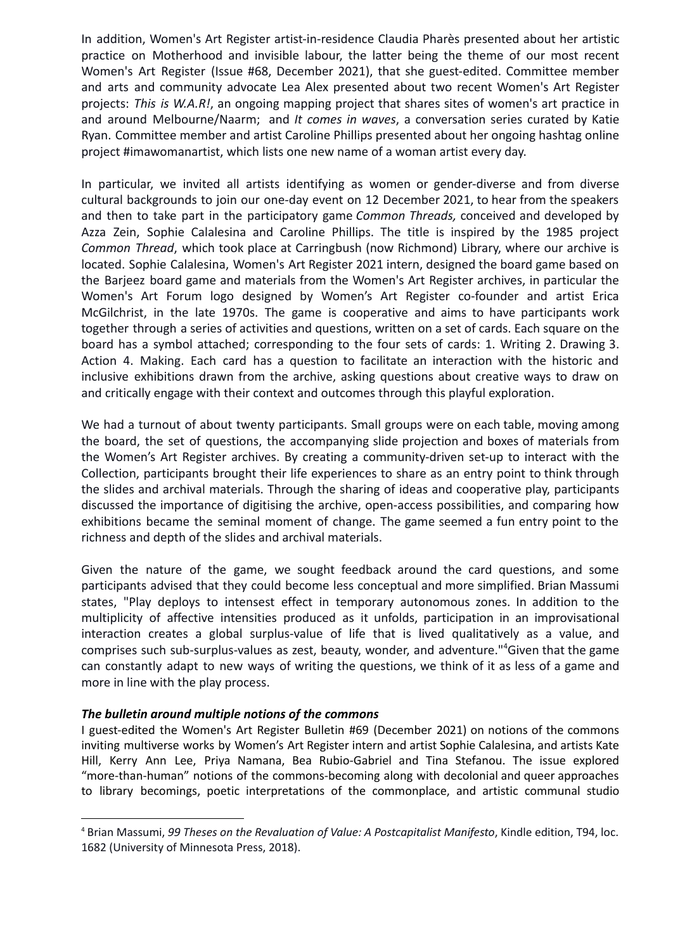In addition, Women's Art Register artist-in-residence Claudia Pharès presented about her artistic practice on Motherhood and invisible labour, the latter being the theme of our most recent Women's Art Register (Issue #68, December 2021), that she guest-edited. Committee member and arts and community advocate Lea Alex presented about two recent Women's Art Register projects: *This is W.A.R!*, an ongoing mapping project that shares sites of women's art practice in and around Melbourne/Naarm; and *It comes in waves*, a conversation series curated by Katie Ryan. Committee member and artist Caroline Phillips presented about her ongoing hashtag online project #imawomanartist, which lists one new name of a woman artist every day.

In particular, we invited all artists identifying as women or gender-diverse and from diverse cultural backgrounds to join our one-day event on 12 December 2021, to hear from the speakers and then to take part in the participatory game *Common Threads,* conceived and developed by Azza Zein, Sophie Calalesina and Caroline Phillips. The title is inspired by the 1985 project *Common Thread*, which took place at Carringbush (now Richmond) Library, where our archive is located. Sophie Calalesina, Women's Art Register 2021 intern, designed the board game based on the Barjeez board game and materials from the Women's Art Register archives, in particular the Women's Art Forum logo designed by Women's Art Register co-founder and artist Erica McGilchrist, in the late 1970s. The game is cooperative and aims to have participants work together through a series of activities and questions, written on a set of cards. Each square on the board has a symbol attached; corresponding to the four sets of cards: 1. Writing 2. Drawing 3. Action 4. Making. Each card has a question to facilitate an interaction with the historic and inclusive exhibitions drawn from the archive, asking questions about creative ways to draw on and critically engage with their context and outcomes through this playful exploration.

We had a turnout of about twenty participants. Small groups were on each table, moving among the board, the set of questions, the accompanying slide projection and boxes of materials from the Women's Art Register archives. By creating a community-driven set-up to interact with the Collection, participants brought their life experiences to share as an entry point to think through the slides and archival materials. Through the sharing of ideas and cooperative play, participants discussed the importance of digitising the archive, open-access possibilities, and comparing how exhibitions became the seminal moment of change. The game seemed a fun entry point to the richness and depth of the slides and archival materials.

Given the nature of the game, we sought feedback around the card questions, and some participants advised that they could become less conceptual and more simplified. Brian Massumi states, "Play deploys to intensest effect in temporary autonomous zones. In addition to the multiplicity of affective intensities produced as it unfolds, participation in an improvisational interaction creates a global surplus-value of life that is lived qualitatively as a value, and comprises such sub-surplus-values as zest, beauty, wonder, and adventure."<sup>4</sup> Given that the game can constantly adapt to new ways of writing the questions, we think of it as less of a game and more in line with the play process.

#### *The bulletin around multiple notions of the commons*

I guest-edited the Women's Art Register Bulletin #69 (December 2021) on notions of the commons inviting multiverse works by Women's Art Register intern and artist Sophie Calalesina, and artists Kate Hill, Kerry Ann Lee, Priya Namana, Bea Rubio-Gabriel and Tina Stefanou. The issue explored "more-than-human" notions of the commons-becoming along with decolonial and queer approaches to library becomings, poetic interpretations of the commonplace, and artistic communal studio

<sup>4</sup> Brian Massumi, *99 Theses on the Revaluation of Value: A Postcapitalist Manifesto*, Kindle edition, T94, loc. 1682 (University of Minnesota Press, 2018).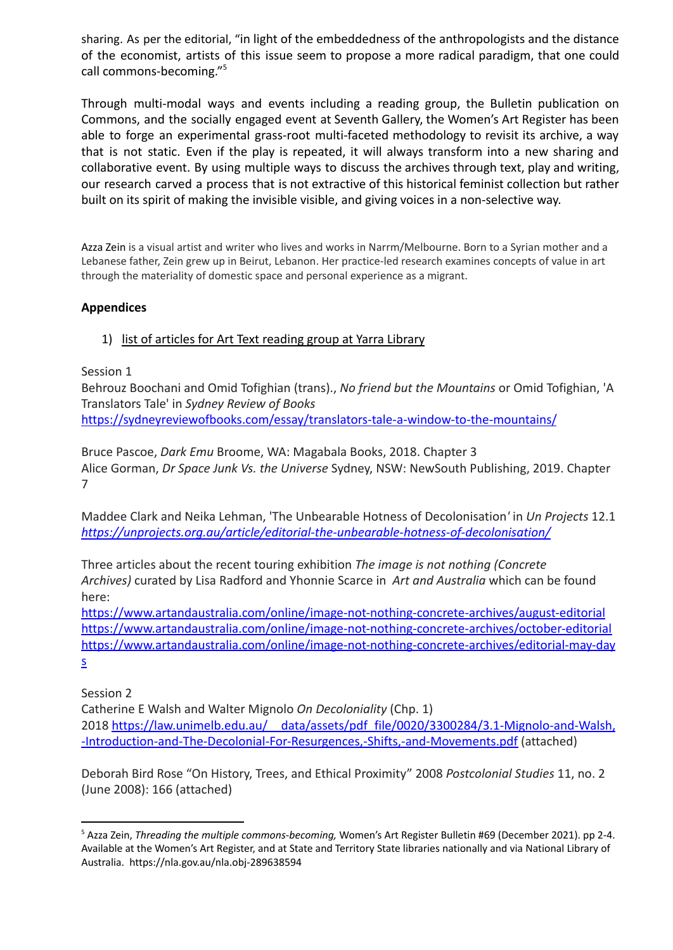sharing. As per the editorial, "in light of the embeddedness of the anthropologists and the distance of the economist, artists of this issue seem to propose a more radical paradigm, that one could call commons-becoming." 5

Through multi-modal ways and events including a reading group, the Bulletin publication on Commons, and the socially engaged event at Seventh Gallery, the Women's Art Register has been able to forge an experimental grass-root multi-faceted methodology to revisit its archive, a way that is not static. Even if the play is repeated, it will always transform into a new sharing and collaborative event. By using multiple ways to discuss the archives through text, play and writing, our research carved a process that is not extractive of this historical feminist collection but rather built on its spirit of making the invisible visible, and giving voices in a non-selective way.

Azza Zein is a visual artist and writer who lives and works in Narrm/Melbourne. Born to a Syrian mother and a Lebanese father, Zein grew up in Beirut, Lebanon. Her practice-led research examines concepts of value in art through the materiality of domestic space and personal experience as a migrant.

### **Appendices**

### 1) list of articles for Art Text reading group at Yarra Library

Session 1

Behrouz Boochani and Omid Tofighian (trans)., *No friend but the Mountains* or Omid Tofighian, 'A Translators Tale' in *Sydney Review of Books* <https://sydneyreviewofbooks.com/essay/translators-tale-a-window-to-the-mountains/>

Bruce Pascoe, *Dark Emu* Broome, WA: Magabala Books, 2018. Chapter 3 Alice Gorman, *Dr Space Junk Vs. the Universe* Sydney, NSW: NewSouth Publishing, 2019. Chapter 7

Maddee Clark and Neika Lehman, 'The Unbearable Hotness of Decolonisation*'* in *Un Projects* 12.1 *<https://unprojects.org.au/article/editorial-the-unbearable-hotness-of-decolonisation/>*

Three articles about the recent touring exhibition *The image is not nothing (Concrete Archives)* curated by Lisa Radford and Yhonnie Scarce in *Art and Australia* which can be found here:

<https://www.artandaustralia.com/online/image-not-nothing-concrete-archives/august-editorial> <https://www.artandaustralia.com/online/image-not-nothing-concrete-archives/october-editorial> [https://www.artandaustralia.com/online/image-not-nothing-concrete-archives/editorial-may-day](https://www.artandaustralia.com/online/image-not-nothing-concrete-archives/editorial-may-days) [s](https://www.artandaustralia.com/online/image-not-nothing-concrete-archives/editorial-may-days)

Session 2

Catherine E Walsh and Walter Mignolo *On Decoloniality* (Chp. 1) 2018 [https://law.unimelb.edu.au/\\_\\_data/assets/pdf\\_file/0020/3300284/3.1-Mignolo-and-Walsh,](https://law.unimelb.edu.au/__data/assets/pdf_file/0020/3300284/3.1-Mignolo-and-Walsh,-Introduction-and-The-Decolonial-For-Resurgences,-Shifts,-and-Movements.pdf) [-Introduction-and-The-Decolonial-For-Resurgences,-Shifts,-and-Movements.pdf](https://law.unimelb.edu.au/__data/assets/pdf_file/0020/3300284/3.1-Mignolo-and-Walsh,-Introduction-and-The-Decolonial-For-Resurgences,-Shifts,-and-Movements.pdf) (attached)

Deborah Bird Rose "On History, Trees, and Ethical Proximity" 2008 *Postcolonial Studies* 11, no. 2 (June 2008): 166 (attached)

<sup>5</sup> Azza Zein, *Threading the multiple commons-becoming,* Women's Art Register Bulletin #69 (December 2021). pp 2-4. Available at the Women's Art Register, and at State and Territory State libraries nationally and via National Library of Australia. https://nla.gov.au/nla.obj-289638594